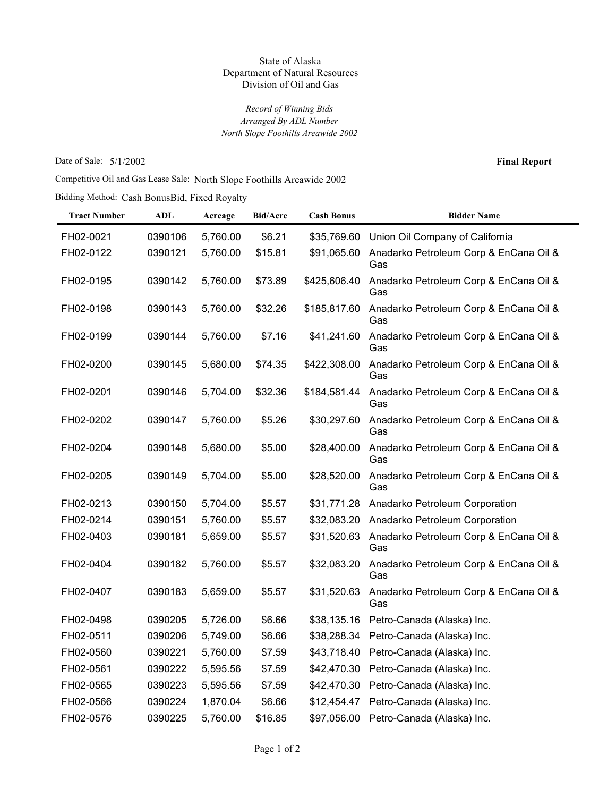## State of Alaska Department of Natural Resources Division of Oil and Gas

*Record of Winning Bids North Slope Foothills Areawide 2002 Arranged By ADL Number*

Date of Sale: 5/1/2002

**Final Report**

Competitive Oil and Gas Lease Sale: North Slope Foothills Areawide 2002

Bidding Method: Cash BonusBid, Fixed Royalty

| <b>Tract Number</b> | ADL     | Acreage  | <b>Bid/Acre</b> | <b>Cash Bonus</b> | <b>Bidder Name</b>                            |
|---------------------|---------|----------|-----------------|-------------------|-----------------------------------------------|
| FH02-0021           | 0390106 | 5,760.00 | \$6.21          | \$35,769.60       | Union Oil Company of California               |
| FH02-0122           | 0390121 | 5,760.00 | \$15.81         | \$91,065.60       | Anadarko Petroleum Corp & EnCana Oil &<br>Gas |
| FH02-0195           | 0390142 | 5,760.00 | \$73.89         | \$425,606.40      | Anadarko Petroleum Corp & EnCana Oil &<br>Gas |
| FH02-0198           | 0390143 | 5,760.00 | \$32.26         | \$185,817.60      | Anadarko Petroleum Corp & EnCana Oil &<br>Gas |
| FH02-0199           | 0390144 | 5,760.00 | \$7.16          | \$41,241.60       | Anadarko Petroleum Corp & EnCana Oil &<br>Gas |
| FH02-0200           | 0390145 | 5,680.00 | \$74.35         | \$422,308.00      | Anadarko Petroleum Corp & EnCana Oil &<br>Gas |
| FH02-0201           | 0390146 | 5,704.00 | \$32.36         | \$184,581.44      | Anadarko Petroleum Corp & EnCana Oil &<br>Gas |
| FH02-0202           | 0390147 | 5,760.00 | \$5.26          | \$30,297.60       | Anadarko Petroleum Corp & EnCana Oil &<br>Gas |
| FH02-0204           | 0390148 | 5,680.00 | \$5.00          | \$28,400.00       | Anadarko Petroleum Corp & EnCana Oil &<br>Gas |
| FH02-0205           | 0390149 | 5,704.00 | \$5.00          | \$28,520.00       | Anadarko Petroleum Corp & EnCana Oil &<br>Gas |
| FH02-0213           | 0390150 | 5,704.00 | \$5.57          | \$31,771.28       | Anadarko Petroleum Corporation                |
| FH02-0214           | 0390151 | 5,760.00 | \$5.57          | \$32,083.20       | Anadarko Petroleum Corporation                |
| FH02-0403           | 0390181 | 5,659.00 | \$5.57          | \$31,520.63       | Anadarko Petroleum Corp & EnCana Oil &<br>Gas |
| FH02-0404           | 0390182 | 5,760.00 | \$5.57          | \$32,083.20       | Anadarko Petroleum Corp & EnCana Oil &<br>Gas |
| FH02-0407           | 0390183 | 5,659.00 | \$5.57          | \$31,520.63       | Anadarko Petroleum Corp & EnCana Oil &<br>Gas |
| FH02-0498           | 0390205 | 5,726.00 | \$6.66          | \$38,135.16       | Petro-Canada (Alaska) Inc.                    |
| FH02-0511           | 0390206 | 5,749.00 | \$6.66          | \$38,288.34       | Petro-Canada (Alaska) Inc.                    |
| FH02-0560           | 0390221 | 5,760.00 | \$7.59          | \$43,718.40       | Petro-Canada (Alaska) Inc.                    |
| FH02-0561           | 0390222 | 5,595.56 | \$7.59          | \$42,470.30       | Petro-Canada (Alaska) Inc.                    |
| FH02-0565           | 0390223 | 5,595.56 | \$7.59          | \$42,470.30       | Petro-Canada (Alaska) Inc.                    |
| FH02-0566           | 0390224 | 1,870.04 | \$6.66          | \$12,454.47       | Petro-Canada (Alaska) Inc.                    |
| FH02-0576           | 0390225 | 5,760.00 | \$16.85         | \$97,056.00       | Petro-Canada (Alaska) Inc.                    |